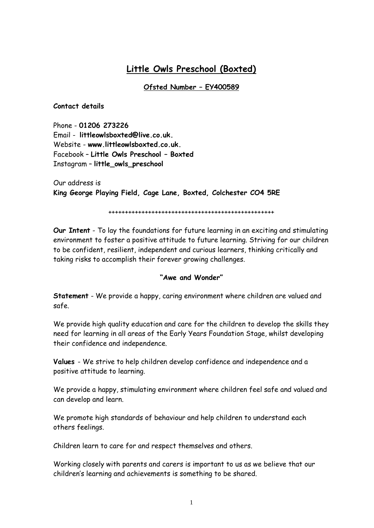# **Little Owls Preschool (Boxted)**

## **Ofsted Number – EY400589**

#### **Contact details**

Phone - **01206 273226** Email - **[littleowlsboxted@live.co.uk.](mailto:littleowlsboxted@live.co.uk)** Website - **[www.littleowlsboxted.co.uk.](http://www.littleowlsboxted.co.uk/)** Facebook – **Little Owls Preschool – Boxted** Instagram – **little\_owls\_preschool**

Our address is **King George Playing Field, Cage Lane, Boxted, Colchester CO4 5RE**

++++++++++++++++++++++++++++++++++++++++++++++++++

**Our Intent** - To lay the foundations for future learning in an exciting and stimulating environment to foster a positive attitude to future learning. Striving for our children to be confident, resilient, independent and curious learners, thinking critically and taking risks to accomplish their forever growing challenges.

#### **"Awe and Wonder"**

**Statement** - We provide a happy, caring environment where children are valued and safe.

We provide high quality education and care for the children to develop the skills they need for learning in all areas of the Early Years Foundation Stage, whilst developing their confidence and independence.

**Values** - We strive to help children develop confidence and independence and a positive attitude to learning.

We provide a happy, stimulating environment where children feel safe and valued and can develop and learn.

We promote high standards of behaviour and help children to understand each others feelings.

Children learn to care for and respect themselves and others.

Working closely with parents and carers is important to us as we believe that our children's learning and achievements is something to be shared.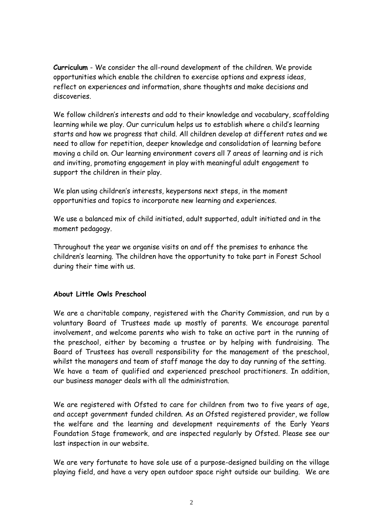**Curriculum** - We consider the all-round development of the children. We provide opportunities which enable the children to exercise options and express ideas, reflect on experiences and information, share thoughts and make decisions and discoveries.

We follow children's interests and add to their knowledge and vocabulary, scaffolding learning while we play. Our curriculum helps us to establish where a child's learning starts and how we progress that child. All children develop at different rates and we need to allow for repetition, deeper knowledge and consolidation of learning before moving a child on. Our learning environment covers all 7 areas of learning and is rich and inviting, promoting engagement in play with meaningful adult engagement to support the children in their play.

We plan using children's interests, keypersons next steps, in the moment opportunities and topics to incorporate new learning and experiences.

We use a balanced mix of child initiated, adult supported, adult initiated and in the moment pedagogy.

Throughout the year we organise visits on and off the premises to enhance the children's learning. The children have the opportunity to take part in Forest School during their time with us.

#### **About Little Owls Preschool**

We are a charitable company, registered with the Charity Commission, and run by a voluntary Board of Trustees made up mostly of parents. We encourage parental involvement, and welcome parents who wish to take an active part in the running of the preschool, either by becoming a trustee or by helping with fundraising. The Board of Trustees has overall responsibility for the management of the preschool, whilst the managers and team of staff manage the day to day running of the setting. We have a team of qualified and experienced preschool practitioners. In addition, our business manager deals with all the administration.

We are registered with Ofsted to care for children from two to five years of age, and accept government funded children. As an Ofsted registered provider, we follow the welfare and the learning and development requirements of the Early Years Foundation Stage framework, and are inspected regularly by Ofsted. Please see our last inspection in our website.

We are very fortunate to have sole use of a purpose-designed building on the village playing field, and have a very open outdoor space right outside our building. We are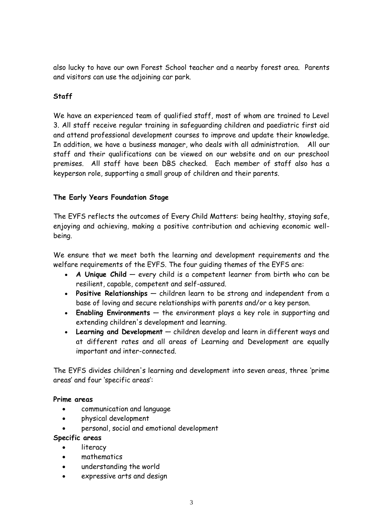also lucky to have our own Forest School teacher and a nearby forest area. Parents and visitors can use the adjoining car park.

# **Staff**

We have an experienced team of qualified staff, most of whom are trained to Level 3. All staff receive regular training in safeguarding children and paediatric first aid and attend professional development courses to improve and update their knowledge. In addition, we have a business manager, who deals with all administration. All our staff and their qualifications can be viewed on our website and on our preschool premises. All staff have been DBS checked. Each member of staff also has a keyperson role, supporting a small group of children and their parents.

# **The Early Years Foundation Stage**

The EYFS reflects the outcomes of Every Child Matters: being healthy, staying safe, enjoying and achieving, making a positive contribution and achieving economic wellbeing.

We ensure that we meet both the learning and development requirements and the welfare requirements of the EYFS. The four guiding themes of the EYFS are:

- **A Unique Child** every child is a competent learner from birth who can be resilient, capable, competent and self-assured.
- **Positive Relationships** children learn to be strong and independent from a base of loving and secure relationships with parents and/or a key person.
- **Enabling Environments** the environment plays a key role in supporting and extending children's development and learning.
- **Learning and Development** children develop and learn in different ways and at different rates and all areas of Learning and Development are equally important and inter-connected.

The EYFS divides children's learning and development into seven areas, three 'prime areas' and four 'specific areas':

#### **Prime areas**

- communication and language
- physical development
- personal, social and emotional development

#### **Specific areas**

- **literacy**
- mathematics
- understanding the world
- expressive arts and design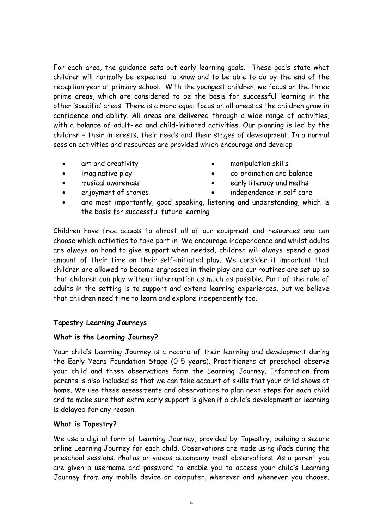For each area, the guidance sets out early learning goals. These goals state what children will normally be expected to know and to be able to do by the end of the reception year at primary school. With the youngest children, we focus on the three prime areas, which are considered to be the basis for successful learning in the other 'specific' areas. There is a more equal focus on all areas as the children grow in confidence and ability. All areas are delivered through a wide range of activities, with a balance of adult-led and child-initiated activities. Our planning is led by the children – their interests, their needs and their stages of development. In a normal session activities and resources are provided which encourage and develop

- art and creativity
- imaginative play
- musical awareness
- enjoyment of stories
- manipulation skills
- co-ordination and balance
- early literacy and maths
- independence in self care
- and most importantly, good speaking, listening and understanding, which is the basis for successful future learning

Children have free access to almost all of our equipment and resources and can choose which activities to take part in. We encourage independence and whilst adults are always on hand to give support when needed, children will always spend a good amount of their time on their self-initiated play. We consider it important that children are allowed to become engrossed in their play and our routines are set up so that children can play without interruption as much as possible. Part of the role of adults in the setting is to support and extend learning experiences, but we believe that children need time to learn and explore independently too.

# **Tapestry Learning Journeys**

#### **What is the Learning Journey?**

Your child's Learning Journey is a record of their learning and development during the Early Years Foundation Stage (0-5 years). Practitioners at preschool observe your child and these observations form the Learning Journey. Information from parents is also included so that we can take account of skills that your child shows at home. We use these assessments and observations to plan next steps for each child and to make sure that extra early support is given if a child's development or learning is delayed for any reason.

# **What is Tapestry?**

We use a digital form of Learning Journey, provided by Tapestry, building a secure online Learning Journey for each child. Observations are made using iPads during the preschool sessions. Photos or videos accompany most observations. As a parent you are given a username and password to enable you to access your child's Learning Journey from any mobile device or computer, wherever and whenever you choose.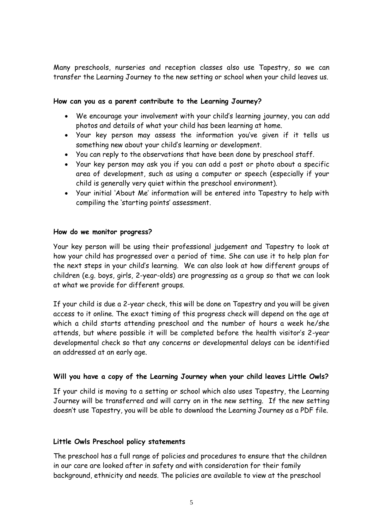Many preschools, nurseries and reception classes also use Tapestry, so we can transfer the Learning Journey to the new setting or school when your child leaves us.

#### **How can you as a parent contribute to the Learning Journey?**

- We encourage your involvement with your child's learning journey, you can add photos and details of what your child has been learning at home.
- Your key person may assess the information you've given if it tells us something new about your child's learning or development.
- You can reply to the observations that have been done by preschool staff.
- Your key person may ask you if you can add a post or photo about a specific area of development, such as using a computer or speech (especially if your child is generally very quiet within the preschool environment).
- Your initial 'About Me' information will be entered into Tapestry to help with compiling the 'starting points' assessment.

#### **How do we monitor progress?**

Your key person will be using their professional judgement and Tapestry to look at how your child has progressed over a period of time. She can use it to help plan for the next steps in your child's learning. We can also look at how different groups of children (e.g. boys, girls, 2-year-olds) are progressing as a group so that we can look at what we provide for different groups.

If your child is due a 2-year check, this will be done on Tapestry and you will be given access to it online. The exact timing of this progress check will depend on the age at which a child starts attending preschool and the number of hours a week he/she attends, but where possible it will be completed before the health visitor's 2-year developmental check so that any concerns or developmental delays can be identified an addressed at an early age.

#### **Will you have a copy of the Learning Journey when your child leaves Little Owls?**

If your child is moving to a setting or school which also uses Tapestry, the Learning Journey will be transferred and will carry on in the new setting. If the new setting doesn't use Tapestry, you will be able to download the Learning Journey as a PDF file.

#### **Little Owls Preschool policy statements**

The preschool has a full range of policies and procedures to ensure that the children in our care are looked after in safety and with consideration for their family background, ethnicity and needs. The policies are available to view at the preschool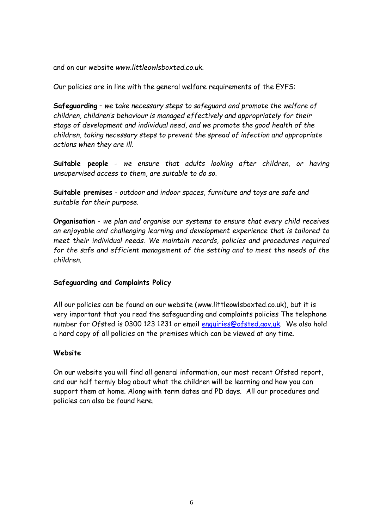and on our website *[www.littleowlsboxted.co.uk.](http://www.littleowlsboxted.co.uk/)* 

Our policies are in line with the general welfare requirements of the EYFS:

**Safeguarding** – *we take necessary steps to safeguard and promote the welfare of children, children's behaviour is managed effectively and appropriately for their stage of development and individual need, and we promote the good health of the children, taking necessary steps to prevent the spread of infection and appropriate actions when they are ill.*

**Suitable people** - *we ensure that adults looking after children, or having unsupervised access to them, are suitable to do so.*

**Suitable premises** - *outdoor and indoor spaces, furniture and toys are safe and suitable for their purpose*.

**Organisation** - *we plan and organise our systems to ensure that every child receives an enjoyable and challenging learning and development experience that is tailored to meet their individual needs. We maintain records, policies and procedures required*  for the safe and efficient management of the setting and to meet the needs of the *children.*

#### **Safeguarding and Complaints Policy**

All our policies can be found on our website [\(www.littleowlsboxted.co.uk\)](http://www.littleowlsboxted.co.uk/), but it is very important that you read the safeguarding and complaints policies The telephone number for Ofsted is 0300 123 1231 or email [enquiries@ofsted.gov.uk.](mailto:enquiries@ofsted.gov.uk) We also hold a hard copy of all policies on the premises which can be viewed at any time.

#### **Website**

On our website you will find all general information, our most recent Ofsted report, and our half termly blog about what the children will be learning and how you can support them at home. Along with term dates and PD days. All our procedures and policies can also be found here.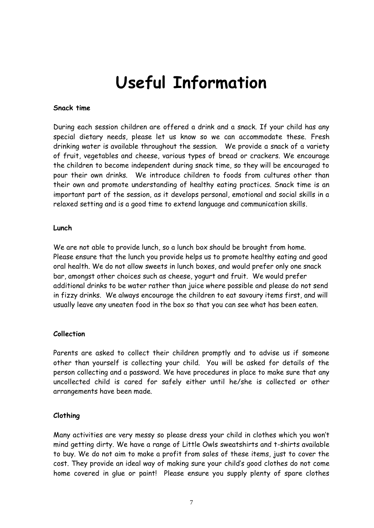# **Useful Information**

#### **Snack time**

During each session children are offered a drink and a snack. If your child has any special dietary needs, please let us know so we can accommodate these. Fresh drinking water is available throughout the session.We provide a snack of a variety of fruit, vegetables and cheese, various types of bread or crackers. We encourage the children to become independent during snack time, so they will be encouraged to pour their own drinks. We introduce children to foods from cultures other than their own and promote understanding of healthy eating practices. Snack time is an important part of the session, as it develops personal, emotional and social skills in a relaxed setting and is a good time to extend language and communication skills.

#### **Lunch**

We are not able to provide lunch, so a lunch box should be brought from home. Please ensure that the lunch you provide helps us to promote healthy eating and good oral health. We do not allow sweets in lunch boxes, and would prefer only one snack bar, amongst other choices such as cheese, yogurt and fruit. We would prefer additional drinks to be water rather than juice where possible and please do not send in fizzy drinks. We always encourage the children to eat savoury items first, and will usually leave any uneaten food in the box so that you can see what has been eaten.

#### **Collection**

Parents are asked to collect their children promptly and to advise us if someone other than yourself is collecting your child. You will be asked for details of the person collecting and a password. We have procedures in place to make sure that any uncollected child is cared for safely either until he/she is collected or other arrangements have been made.

#### **Clothing**

Many activities are very messy so please dress your child in clothes which you won't mind getting dirty. We have a range of Little Owls sweatshirts and t-shirts available to buy. We do not aim to make a profit from sales of these items, just to cover the cost. They provide an ideal way of making sure your child's good clothes do not come home covered in glue or paint! Please ensure you supply plenty of spare clothes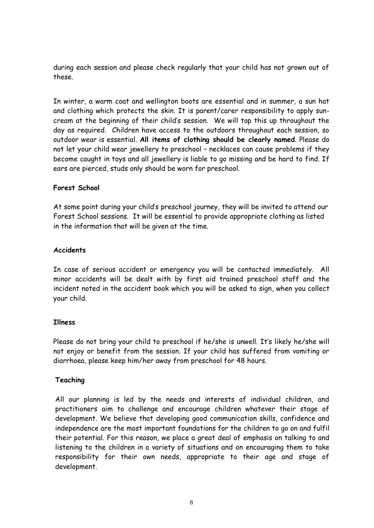during each session and please check regularly that your child has not grown out of these.

In winter, a warm coat and wellington boots are essential and in summer, a sun hat and clothing which protects the skin. It is parent/carer responsibility to apply suncream at the beginning of their child's session. We will top this up throughout the day as required. Children have access to the outdoors throughout each session, so outdoor wear is essential. **All items of clothing should be clearly named**. Please do not let your child wear jewellery to preschool – necklaces can cause problems if they become caught in toys and all jewellery is liable to go missing and be hard to find. If ears are pierced, studs only should be worn for preschool.

#### **Forest School**

At some point during your child's preschool journey, they will be invited to attend our Forest School sessions. It will be essential to provide appropriate clothing as listed in the information that will be given at the time.

#### **Accidents**

In case of serious accident or emergency you will be contacted immediately. All minor accidents will be dealt with by first aid trained preschool staff and the incident noted in the accident book which you will be asked to sign, when you collect your child.

#### **Illness**

Please do not bring your child to preschool if he/she is unwell. It's likely he/she will not enjoy or benefit from the session. If your child has suffered from vomiting or diarrhoea, please keep him/her away from preschool for 48 hours.

#### **Teaching**

All our planning is led by the needs and interests of individual children, and practitioners aim to challenge and encourage children whatever their stage of development. We believe that developing good communication skills, confidence and independence are the most important foundations for the children to go on and fulfil their potential. For this reason, we place a great deal of emphasis on talking to and listening to the children in a variety of situations and on encouraging them to take responsibility for their own needs, appropriate to their age and stage of development.